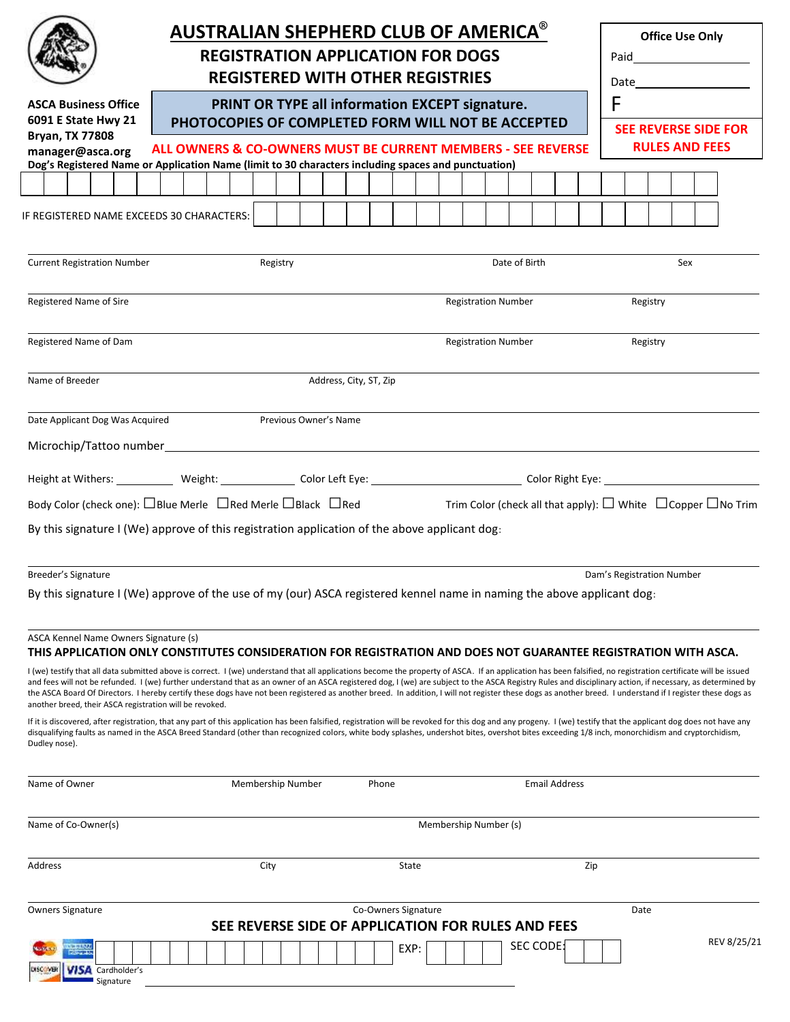| <b>AUSTRALIAN SHEPHERD CLUB OF AMERICA®</b>                                                                                                                                                                                                                                                                                                                                                                              |                                                                                                                                                                 |  |  |                   |                       |   | <b>Office Use Only</b> |                             |       |                       |  |                            |               |                      |  |     |  |  |          |     |  |  |             |
|--------------------------------------------------------------------------------------------------------------------------------------------------------------------------------------------------------------------------------------------------------------------------------------------------------------------------------------------------------------------------------------------------------------------------|-----------------------------------------------------------------------------------------------------------------------------------------------------------------|--|--|-------------------|-----------------------|---|------------------------|-----------------------------|-------|-----------------------|--|----------------------------|---------------|----------------------|--|-----|--|--|----------|-----|--|--|-------------|
| <b>REGISTRATION APPLICATION FOR DOGS</b>                                                                                                                                                                                                                                                                                                                                                                                 |                                                                                                                                                                 |  |  |                   |                       |   |                        |                             |       |                       |  |                            |               |                      |  |     |  |  |          |     |  |  |             |
| <b>REGISTERED WITH OTHER REGISTRIES</b>                                                                                                                                                                                                                                                                                                                                                                                  |                                                                                                                                                                 |  |  |                   |                       |   |                        |                             |       |                       |  |                            |               |                      |  |     |  |  |          |     |  |  |             |
| PRINT OR TYPE all information EXCEPT signature.<br><b>ASCA Business Office</b>                                                                                                                                                                                                                                                                                                                                           |                                                                                                                                                                 |  |  |                   |                       | F |                        |                             |       |                       |  |                            |               |                      |  |     |  |  |          |     |  |  |             |
| 6091 E State Hwy 21<br>PHOTOCOPIES OF COMPLETED FORM WILL NOT BE ACCEPTED                                                                                                                                                                                                                                                                                                                                                |                                                                                                                                                                 |  |  |                   |                       |   |                        | <b>SEE REVERSE SIDE FOR</b> |       |                       |  |                            |               |                      |  |     |  |  |          |     |  |  |             |
| <b>Bryan, TX 77808</b>                                                                                                                                                                                                                                                                                                                                                                                                   |                                                                                                                                                                 |  |  |                   |                       |   |                        |                             |       | <b>RULES AND FEES</b> |  |                            |               |                      |  |     |  |  |          |     |  |  |             |
| ALL OWNERS & CO-OWNERS MUST BE CURRENT MEMBERS - SEE REVERSE<br>manager@asca.org<br>Dog's Registered Name or Application Name (limit to 30 characters including spaces and punctuation)                                                                                                                                                                                                                                  |                                                                                                                                                                 |  |  |                   |                       |   |                        |                             |       |                       |  |                            |               |                      |  |     |  |  |          |     |  |  |             |
|                                                                                                                                                                                                                                                                                                                                                                                                                          |                                                                                                                                                                 |  |  |                   |                       |   |                        |                             |       |                       |  |                            |               |                      |  |     |  |  |          |     |  |  |             |
|                                                                                                                                                                                                                                                                                                                                                                                                                          |                                                                                                                                                                 |  |  |                   |                       |   |                        |                             |       |                       |  |                            |               |                      |  |     |  |  |          |     |  |  |             |
| IF REGISTERED NAME EXCEEDS 30 CHARACTERS:                                                                                                                                                                                                                                                                                                                                                                                |                                                                                                                                                                 |  |  |                   |                       |   |                        |                             |       |                       |  |                            |               |                      |  |     |  |  |          |     |  |  |             |
|                                                                                                                                                                                                                                                                                                                                                                                                                          |                                                                                                                                                                 |  |  |                   |                       |   |                        |                             |       |                       |  |                            |               |                      |  |     |  |  |          |     |  |  |             |
| <b>Current Registration Number</b>                                                                                                                                                                                                                                                                                                                                                                                       |                                                                                                                                                                 |  |  | Registry          |                       |   |                        |                             |       |                       |  |                            | Date of Birth |                      |  |     |  |  |          | Sex |  |  |             |
|                                                                                                                                                                                                                                                                                                                                                                                                                          |                                                                                                                                                                 |  |  |                   |                       |   |                        |                             |       |                       |  |                            |               |                      |  |     |  |  |          |     |  |  |             |
| Registered Name of Sire                                                                                                                                                                                                                                                                                                                                                                                                  |                                                                                                                                                                 |  |  |                   |                       |   |                        |                             |       |                       |  | <b>Registration Number</b> |               |                      |  |     |  |  | Registry |     |  |  |             |
|                                                                                                                                                                                                                                                                                                                                                                                                                          |                                                                                                                                                                 |  |  |                   |                       |   |                        |                             |       |                       |  |                            |               |                      |  |     |  |  |          |     |  |  |             |
| Registered Name of Dam                                                                                                                                                                                                                                                                                                                                                                                                   |                                                                                                                                                                 |  |  |                   |                       |   |                        |                             |       |                       |  | <b>Registration Number</b> |               |                      |  |     |  |  | Registry |     |  |  |             |
|                                                                                                                                                                                                                                                                                                                                                                                                                          |                                                                                                                                                                 |  |  |                   |                       |   |                        |                             |       |                       |  |                            |               |                      |  |     |  |  |          |     |  |  |             |
| Name of Breeder                                                                                                                                                                                                                                                                                                                                                                                                          |                                                                                                                                                                 |  |  |                   |                       |   |                        | Address, City, ST, Zip      |       |                       |  |                            |               |                      |  |     |  |  |          |     |  |  |             |
|                                                                                                                                                                                                                                                                                                                                                                                                                          |                                                                                                                                                                 |  |  |                   |                       |   |                        |                             |       |                       |  |                            |               |                      |  |     |  |  |          |     |  |  |             |
| Date Applicant Dog Was Acquired                                                                                                                                                                                                                                                                                                                                                                                          |                                                                                                                                                                 |  |  |                   | Previous Owner's Name |   |                        |                             |       |                       |  |                            |               |                      |  |     |  |  |          |     |  |  |             |
|                                                                                                                                                                                                                                                                                                                                                                                                                          |                                                                                                                                                                 |  |  |                   |                       |   |                        |                             |       |                       |  |                            |               |                      |  |     |  |  |          |     |  |  |             |
|                                                                                                                                                                                                                                                                                                                                                                                                                          |                                                                                                                                                                 |  |  |                   |                       |   |                        |                             |       |                       |  |                            |               |                      |  |     |  |  |          |     |  |  |             |
|                                                                                                                                                                                                                                                                                                                                                                                                                          |                                                                                                                                                                 |  |  |                   |                       |   |                        |                             |       |                       |  |                            |               |                      |  |     |  |  |          |     |  |  |             |
|                                                                                                                                                                                                                                                                                                                                                                                                                          | Body Color (check one): $\Box$ Blue Merle $\Box$ Red Merle $\Box$ Black $\Box$ Red Trim Color (check all that apply): $\Box$ White $\Box$ Copper $\Box$ No Trim |  |  |                   |                       |   |                        |                             |       |                       |  |                            |               |                      |  |     |  |  |          |     |  |  |             |
|                                                                                                                                                                                                                                                                                                                                                                                                                          |                                                                                                                                                                 |  |  |                   |                       |   |                        |                             |       |                       |  |                            |               |                      |  |     |  |  |          |     |  |  |             |
| By this signature I (We) approve of this registration application of the above applicant dog:                                                                                                                                                                                                                                                                                                                            |                                                                                                                                                                 |  |  |                   |                       |   |                        |                             |       |                       |  |                            |               |                      |  |     |  |  |          |     |  |  |             |
|                                                                                                                                                                                                                                                                                                                                                                                                                          |                                                                                                                                                                 |  |  |                   |                       |   |                        |                             |       |                       |  |                            |               |                      |  |     |  |  |          |     |  |  |             |
| Breeder's Signature                                                                                                                                                                                                                                                                                                                                                                                                      |                                                                                                                                                                 |  |  |                   |                       |   |                        |                             |       |                       |  |                            |               |                      |  |     |  |  |          |     |  |  |             |
| Dam's Registration Number<br>By this signature I (We) approve of the use of my (our) ASCA registered kennel name in naming the above applicant dog:                                                                                                                                                                                                                                                                      |                                                                                                                                                                 |  |  |                   |                       |   |                        |                             |       |                       |  |                            |               |                      |  |     |  |  |          |     |  |  |             |
|                                                                                                                                                                                                                                                                                                                                                                                                                          |                                                                                                                                                                 |  |  |                   |                       |   |                        |                             |       |                       |  |                            |               |                      |  |     |  |  |          |     |  |  |             |
|                                                                                                                                                                                                                                                                                                                                                                                                                          |                                                                                                                                                                 |  |  |                   |                       |   |                        |                             |       |                       |  |                            |               |                      |  |     |  |  |          |     |  |  |             |
| ASCA Kennel Name Owners Signature (s)<br>THIS APPLICATION ONLY CONSTITUTES CONSIDERATION FOR REGISTRATION AND DOES NOT GUARANTEE REGISTRATION WITH ASCA.                                                                                                                                                                                                                                                                 |                                                                                                                                                                 |  |  |                   |                       |   |                        |                             |       |                       |  |                            |               |                      |  |     |  |  |          |     |  |  |             |
| I (we) testify that all data submitted above is correct. I (we) understand that all applications become the property of ASCA. If an application has been falsified, no registration certificate will be issued                                                                                                                                                                                                           |                                                                                                                                                                 |  |  |                   |                       |   |                        |                             |       |                       |  |                            |               |                      |  |     |  |  |          |     |  |  |             |
| and fees will not be refunded. I (we) further understand that as an owner of an ASCA registered dog, I (we) are subject to the ASCA Registry Rules and disciplinary action, if necessary, as determined by<br>the ASCA Board Of Directors. I hereby certify these dogs have not been registered as another breed. In addition, I will not register these dogs as another breed. I understand if I register these dogs as |                                                                                                                                                                 |  |  |                   |                       |   |                        |                             |       |                       |  |                            |               |                      |  |     |  |  |          |     |  |  |             |
| another breed, their ASCA registration will be revoked.                                                                                                                                                                                                                                                                                                                                                                  |                                                                                                                                                                 |  |  |                   |                       |   |                        |                             |       |                       |  |                            |               |                      |  |     |  |  |          |     |  |  |             |
| If it is discovered, after registration, that any part of this application has been falsified, registration will be revoked for this dog and any progeny. I (we) testify that the applicant dog does not have any<br>disqualifying faults as named in the ASCA Breed Standard (other than recognized colors, white body splashes, undershot bites, overshot bites exceeding 1/8 inch, monorchidism and cryptorchidism,   |                                                                                                                                                                 |  |  |                   |                       |   |                        |                             |       |                       |  |                            |               |                      |  |     |  |  |          |     |  |  |             |
| Dudley nose).                                                                                                                                                                                                                                                                                                                                                                                                            |                                                                                                                                                                 |  |  |                   |                       |   |                        |                             |       |                       |  |                            |               |                      |  |     |  |  |          |     |  |  |             |
|                                                                                                                                                                                                                                                                                                                                                                                                                          |                                                                                                                                                                 |  |  |                   |                       |   |                        |                             |       |                       |  |                            |               |                      |  |     |  |  |          |     |  |  |             |
| Name of Owner                                                                                                                                                                                                                                                                                                                                                                                                            |                                                                                                                                                                 |  |  | Membership Number |                       |   |                        |                             | Phone |                       |  |                            |               | <b>Email Address</b> |  |     |  |  |          |     |  |  |             |
|                                                                                                                                                                                                                                                                                                                                                                                                                          |                                                                                                                                                                 |  |  |                   |                       |   |                        |                             |       |                       |  |                            |               |                      |  |     |  |  |          |     |  |  |             |
| Name of Co-Owner(s)                                                                                                                                                                                                                                                                                                                                                                                                      |                                                                                                                                                                 |  |  |                   |                       |   |                        |                             |       |                       |  | Membership Number (s)      |               |                      |  |     |  |  |          |     |  |  |             |
|                                                                                                                                                                                                                                                                                                                                                                                                                          |                                                                                                                                                                 |  |  |                   |                       |   |                        |                             |       |                       |  |                            |               |                      |  |     |  |  |          |     |  |  |             |
| Address                                                                                                                                                                                                                                                                                                                                                                                                                  |                                                                                                                                                                 |  |  | City              |                       |   |                        |                             |       | State                 |  |                            |               |                      |  | Zip |  |  |          |     |  |  |             |
|                                                                                                                                                                                                                                                                                                                                                                                                                          |                                                                                                                                                                 |  |  |                   |                       |   |                        |                             |       |                       |  |                            |               |                      |  |     |  |  |          |     |  |  |             |
|                                                                                                                                                                                                                                                                                                                                                                                                                          |                                                                                                                                                                 |  |  |                   |                       |   |                        |                             |       |                       |  |                            |               |                      |  |     |  |  |          |     |  |  |             |
| Co-Owners Signature<br><b>Owners Signature</b><br>Date<br>SEE REVERSE SIDE OF APPLICATION FOR RULES AND FEES                                                                                                                                                                                                                                                                                                             |                                                                                                                                                                 |  |  |                   |                       |   |                        |                             |       |                       |  |                            |               |                      |  |     |  |  |          |     |  |  |             |
|                                                                                                                                                                                                                                                                                                                                                                                                                          |                                                                                                                                                                 |  |  |                   |                       |   |                        |                             |       |                       |  |                            |               | SEC CODE:            |  |     |  |  |          |     |  |  | REV 8/25/21 |
|                                                                                                                                                                                                                                                                                                                                                                                                                          |                                                                                                                                                                 |  |  |                   |                       |   |                        |                             |       | EXP:                  |  |                            |               |                      |  |     |  |  |          |     |  |  |             |
| SA Cardholder's                                                                                                                                                                                                                                                                                                                                                                                                          |                                                                                                                                                                 |  |  |                   |                       |   |                        |                             |       |                       |  |                            |               |                      |  |     |  |  |          |     |  |  |             |

Signature

 $\mathbf{I}$